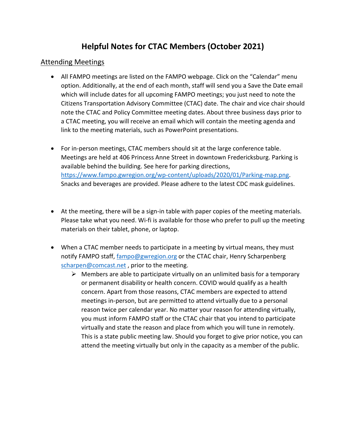# **Helpful Notes for CTAC Members (October 2021)**

## Attending Meetings

- All FAMPO meetings are listed on the FAMPO webpage. Click on the "Calendar" menu option. Additionally, at the end of each month, staff will send you a Save the Date email which will include dates for all upcoming FAMPO meetings; you just need to note the Citizens Transportation Advisory Committee (CTAC) date. The chair and vice chair should note the CTAC and Policy Committee meeting dates. About three business days prior to a CTAC meeting, you will receive an email which will contain the meeting agenda and link to the meeting materials, such as PowerPoint presentations.
- For in-person meetings, CTAC members should sit at the large conference table. Meetings are held at 406 Princess Anne Street in downtown Fredericksburg. Parking is available behind the building. See here for parking directions, [https://www.fampo.gwregion.org/wp-content/uploads/2020/01/Parking-map.png.](https://www.fampo.gwregion.org/wp-content/uploads/2020/01/Parking-map.png) Snacks and beverages are provided. Please adhere to the latest CDC mask guidelines.
- At the meeting, there will be a sign-in table with paper copies of the meeting materials. Please take what you need. Wi-fi is available for those who prefer to pull up the meeting materials on their tablet, phone, or laptop.
- When a CTAC member needs to participate in a meeting by virtual means, they must notify FAMPO staff, [fampo@gwregion.org](mailto:fampo@gwregion.org) or the CTAC chair, Henry Scharpenberg [scharpen@comcast.net](mailto:scharpen@comcast.net), prior to the meeting.
	- $\triangleright$  Members are able to participate virtually on an unlimited basis for a temporary or permanent disability or health concern. COVID would qualify as a health concern. Apart from those reasons, CTAC members are expected to attend meetings in-person, but are permitted to attend virtually due to a personal reason twice per calendar year. No matter your reason for attending virtually, you must inform FAMPO staff or the CTAC chair that you intend to participate virtually and state the reason and place from which you will tune in remotely. This is a state public meeting law. Should you forget to give prior notice, you can attend the meeting virtually but only in the capacity as a member of the public.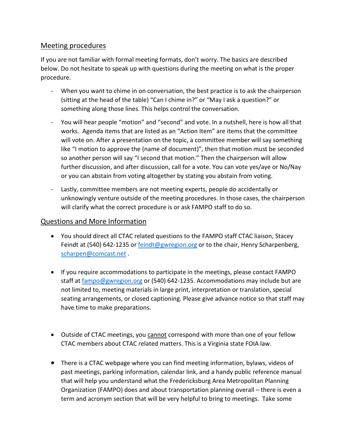## Meeting procedures

If you are not familiar with formal meeting formats, don't worry. The basics are described below. Do not hesitate to speak up with questions during the meeting on what is the proper procedure.

- When you want to chime in on conversation, the best practice is to ask the chairperson (sitting at the head of the table) "Can I chime in?" or "May I ask a question?" or something along those lines. This helps control the conversation.
- You will hear people "motion" and "second" and vote. In a nutshell, here is how all that works. Agenda items that are listed as an "Action Item" are items that the committee will vote on. After a presentation on the topic, a committee member will say something like "I motion to approve the (name of document)", then that motion must be seconded so another person will say "I second that motion." Then the chairperson will allow further discussion, and after discussion, call for a vote. You can vote yes/aye or No/Nay or you can abstain from voting altogether by stating you abstain from voting.
- Lastly, committee members are not meeting experts, people do accidentally or unknowingly venture outside of the meeting procedures. In those cases, the chairperson will clarify what the correct procedure is or ask FAMPO staff to do so.

# Questions and More Information

- You should direct all CTAC related questions to the FAMPO staff CTAC liaison, Stacey Feindt at (540) 642-1235 or **feindt@gwregion.org** or to the chair, Henry Scharpenberg, [scharpen@comcast.net](mailto:scharpen@comcast.net) .
- If you require accommodations to participate in the meetings, please contact FAMPO staff at [fampo@gwregion.org](mailto:fampo@gwregion.org) or (540) 642-1235. Accommodations may include but are not limited to, meeting materials in large print, interpretation or translation, special seating arrangements, or closed captioning. Please give advance notice so that staff may have time to make preparations.
- Outside of CTAC meetings, you cannot correspond with more than one of your fellow CTAC members about CTAC related matters. This is a Virginia state FOIA law.
- There is a CTAC webpage where you can find meeting information, bylaws, videos of past meetings, parking information, calendar link, and a handy public reference manual that will help you understand what the Fredericksburg Area Metropolitan Planning Organization (FAMPO) does and about transportation planning overall – there is even a term and acronym section that will be very helpful to bring to meetings. Take some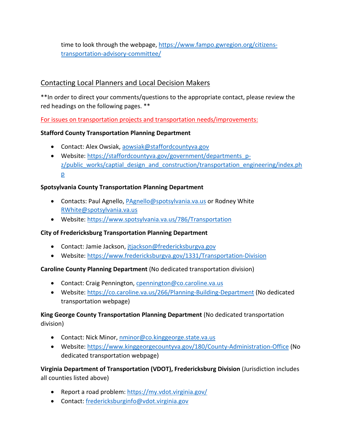time to look through the webpage[, https://www.fampo.gwregion.org/citizens](https://www.fampo.gwregion.org/citizens-transportation-advisory-committee/)[transportation-advisory-committee/](https://www.fampo.gwregion.org/citizens-transportation-advisory-committee/)

# Contacting Local Planners and Local Decision Makers

\*\*In order to direct your comments/questions to the appropriate contact, please review the red headings on the following pages. \*\*

For issues on transportation projects and transportation needs/improvements:

## **Stafford County Transportation Planning Department**

- Contact: Alex Owsiak, [aowsiak@staffordcountyva.gov](mailto:aowsiak@staffordcountyva.gov)
- Website: [https://staffordcountyva.gov/government/departments\\_p](https://staffordcountyva.gov/government/departments_p-z/public_works/captial_design_and_construction/transportation_engineering/index.php)[z/public\\_works/captial\\_design\\_and\\_construction/transportation\\_engineering/index.ph](https://staffordcountyva.gov/government/departments_p-z/public_works/captial_design_and_construction/transportation_engineering/index.php) [p](https://staffordcountyva.gov/government/departments_p-z/public_works/captial_design_and_construction/transportation_engineering/index.php)

## **Spotsylvania County Transportation Planning Department**

- Contacts: Paul Agnello, *PAgnello@spotsylvania.va.us* or Rodney White [RWhite@spotsylvania.va.us](mailto:RWhite@spotsylvania.va.us)
- Website:<https://www.spotsylvania.va.us/786/Transportation>

## **City of Fredericksburg Transportation Planning Department**

- Contact: Jamie Jackson, *jtjackson@fredericksburgva.gov*
- Website:<https://www.fredericksburgva.gov/1331/Transportation-Division>

## **Caroline County Planning Department** (No dedicated transportation division)

- Contact: Craig Pennington, [cpennington@co.caroline.va.us](mailto:cpennington@co.caroline.va.us)
- Website:<https://co.caroline.va.us/266/Planning-Building-Department> (No dedicated transportation webpage)

## **King George County Transportation Planning Department** (No dedicated transportation division)

- Contact: Nick Minor, [nminor@co.kinggeorge.state.va.us](mailto:nminor@co.kinggeorge.state.va.us)
- Website:<https://www.kinggeorgecountyva.gov/180/County-Administration-Office> (No dedicated transportation webpage)

**Virginia Department of Transportation (VDOT), Fredericksburg Division** (Jurisdiction includes all counties listed above)

- Report a road problem:<https://my.vdot.virginia.gov/>
- Contact: [fredericksburginfo@vdot.virginia.gov](mailto:fredericksburginfo@vdot.virginia.gov)